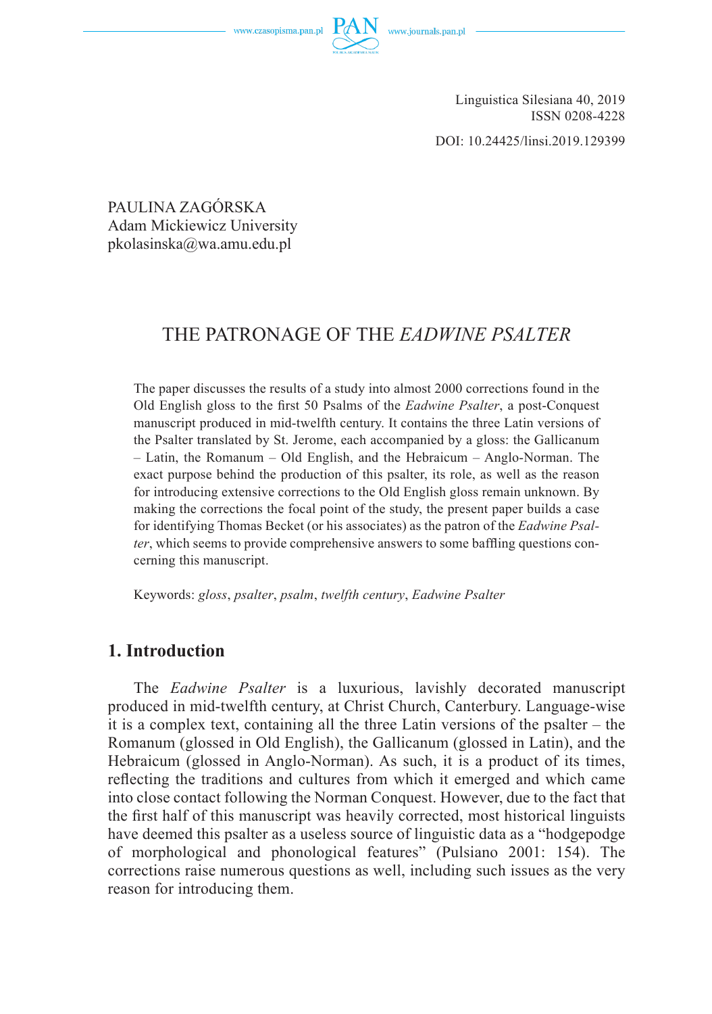www.czasopisma.pan.pl



Linguistica Silesiana 40, 2019 ISSN 0208-4228

DOI: 10.24425/linsi.2019.129399

PAULINA ZAGÓRSKA Adam Mickiewicz University pkolasinska@wa.amu.edu.pl

# THE PATRONAGE OF THE *EADWINE PSALTER*

The paper discusses the results of a study into almost 2000 corrections found in the Old English gloss to the first 50 Psalms of the *Eadwine Psalter*, a post-Conquest manuscript produced in mid-twelfth century. It contains the three Latin versions of the Psalter translated by St. Jerome, each accompanied by a gloss: the Gallicanum – Latin, the Romanum – Old English, and the Hebraicum – Anglo-Norman. The exact purpose behind the production of this psalter, its role, as well as the reason for introducing extensive corrections to the Old English gloss remain unknown. By making the corrections the focal point of the study, the present paper builds a case for identifying Thomas Becket (or his associates) as the patron of the *Eadwine Psalter*, which seems to provide comprehensive answers to some baffling questions concerning this manuscript.

Keywords: *gloss*, *psalter*, *psalm*, *twelfth century*, *Eadwine Psalter*

# **1. Introduction**

The *Eadwine Psalter* is a luxurious, lavishly decorated manuscript produced in mid-twelfth century, at Christ Church, Canterbury. Language-wise it is a complex text, containing all the three Latin versions of the psalter – the Romanum (glossed in Old English), the Gallicanum (glossed in Latin), and the Hebraicum (glossed in Anglo-Norman). As such, it is a product of its times, reflecting the traditions and cultures from which it emerged and which came into close contact following the Norman Conquest. However, due to the fact that the first half of this manuscript was heavily corrected, most historical linguists have deemed this psalter as a useless source of linguistic data as a "hodgepodge of morphological and phonological features" (Pulsiano 2001: 154). The corrections raise numerous questions as well, including such issues as the very reason for introducing them.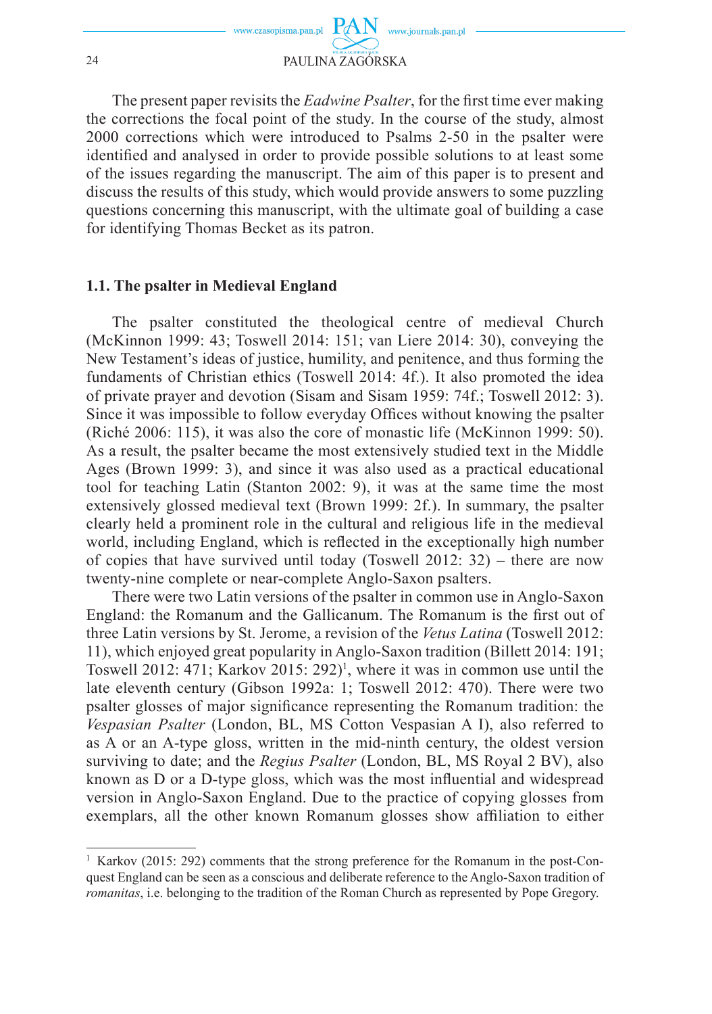

The present paper revisits the *Eadwine Psalter*, for the first time ever making the corrections the focal point of the study. In the course of the study, almost 2000 corrections which were introduced to Psalms 2-50 in the psalter were identified and analysed in order to provide possible solutions to at least some of the issues regarding the manuscript. The aim of this paper is to present and discuss the results of this study, which would provide answers to some puzzling questions concerning this manuscript, with the ultimate goal of building a case for identifying Thomas Becket as its patron.

#### **1.1. The psalter in Medieval England**

The psalter constituted the theological centre of medieval Church (McKinnon 1999: 43; Toswell 2014: 151; van Liere 2014: 30), conveying the New Testament's ideas of justice, humility, and penitence, and thus forming the fundaments of Christian ethics (Toswell 2014: 4f.). It also promoted the idea of private prayer and devotion (Sisam and Sisam 1959: 74f.; Toswell 2012: 3). Since it was impossible to follow everyday Offices without knowing the psalter (Riché 2006: 115), it was also the core of monastic life (McKinnon 1999: 50). As a result, the psalter became the most extensively studied text in the Middle Ages (Brown 1999: 3), and since it was also used as a practical educational tool for teaching Latin (Stanton 2002: 9), it was at the same time the most extensively glossed medieval text (Brown 1999: 2f.). In summary, the psalter clearly held a prominent role in the cultural and religious life in the medieval world, including England, which is reflected in the exceptionally high number of copies that have survived until today (Toswell 2012: 32) – there are now twenty-nine complete or near-complete Anglo-Saxon psalters.

There were two Latin versions of the psalter in common use in Anglo-Saxon England: the Romanum and the Gallicanum. The Romanum is the first out of three Latin versions by St. Jerome, a revision of the *Vetus Latina* (Toswell 2012: 11), which enjoyed great popularity in Anglo-Saxon tradition (Billett 2014: 191; Toswell 2012: 471; Karkov 2015:  $292$ <sup>1</sup>, where it was in common use until the late eleventh century (Gibson 1992a: 1; Toswell 2012: 470). There were two psalter glosses of major significance representing the Romanum tradition: the *Vespasian Psalter* (London, BL, MS Cotton Vespasian A I), also referred to as A or an A-type gloss, written in the mid-ninth century, the oldest version surviving to date; and the *Regius Psalter* (London, BL, MS Royal 2 BV), also known as  $D$  or a  $D$ -type gloss, which was the most influential and widespread version in Anglo-Saxon England. Due to the practice of copying glosses from exemplars, all the other known Romanum glosses show affiliation to either

<sup>&</sup>lt;sup>1</sup> Karkov (2015: 292) comments that the strong preference for the Romanum in the post-Conquest England can be seen as a conscious and deliberate reference to the Anglo-Saxon tradition of *romanitas*, i.e. belonging to the tradition of the Roman Church as represented by Pope Gregory.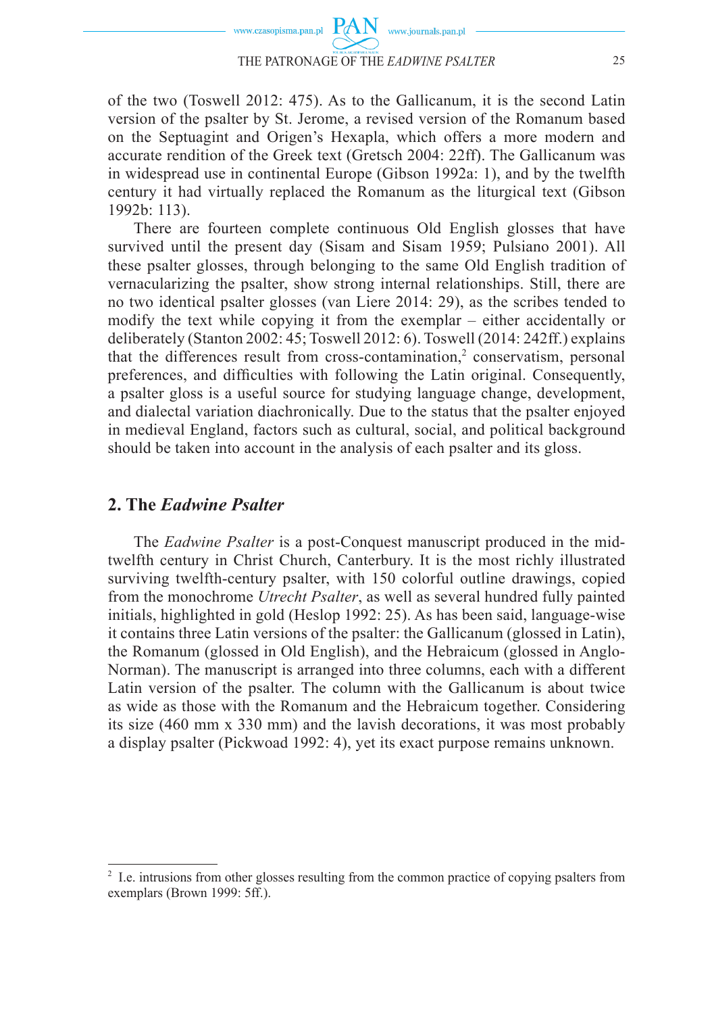

of the two (Toswell 2012: 475). As to the Gallicanum, it is the second Latin version of the psalter by St. Jerome, a revised version of the Romanum based on the Septuagint and Origen's Hexapla, which offers a more modern and accurate rendition of the Greek text (Gretsch 2004: 22ff). The Gallicanum was in widespread use in continental Europe (Gibson 1992a: 1), and by the twelfth century it had virtually replaced the Romanum as the liturgical text (Gibson 1992b: 113).

There are fourteen complete continuous Old English glosses that have survived until the present day (Sisam and Sisam 1959; Pulsiano 2001). All these psalter glosses, through belonging to the same Old English tradition of vernacularizing the psalter, show strong internal relationships. Still, there are no two identical psalter glosses (van Liere 2014: 29), as the scribes tended to modify the text while copying it from the exemplar – either accidentally or deliberately (Stanton 2002: 45; Toswell 2012: 6). Toswell (2014: 242ff.) explains that the differences result from cross-contamination, $2$  conservatism, personal preferences, and difficulties with following the Latin original. Consequently, a psalter gloss is a useful source for studying language change, development, and dialectal variation diachronically. Due to the status that the psalter enjoyed in medieval England, factors such as cultural, social, and political background should be taken into account in the analysis of each psalter and its gloss.

### **2. The** *Eadwine Psalter*

The *Eadwine Psalter* is a post-Conquest manuscript produced in the midtwelfth century in Christ Church, Canterbury. It is the most richly illustrated surviving twelfth-century psalter, with 150 colorful outline drawings, copied from the monochrome *Utrecht Psalter*, as well as several hundred fully painted initials, highlighted in gold (Heslop 1992: 25). As has been said, language-wise it contains three Latin versions of the psalter: the Gallicanum (glossed in Latin), the Romanum (glossed in Old English), and the Hebraicum (glossed in Anglo-Norman). The manuscript is arranged into three columns, each with a different Latin version of the psalter. The column with the Gallicanum is about twice as wide as those with the Romanum and the Hebraicum together. Considering its size (460 mm x 330 mm) and the lavish decorations, it was most probably a display psalter (Pickwoad 1992: 4), yet its exact purpose remains unknown.

<sup>&</sup>lt;sup>2</sup> I.e. intrusions from other glosses resulting from the common practice of copying psalters from exemplars (Brown 1999: 5ff.).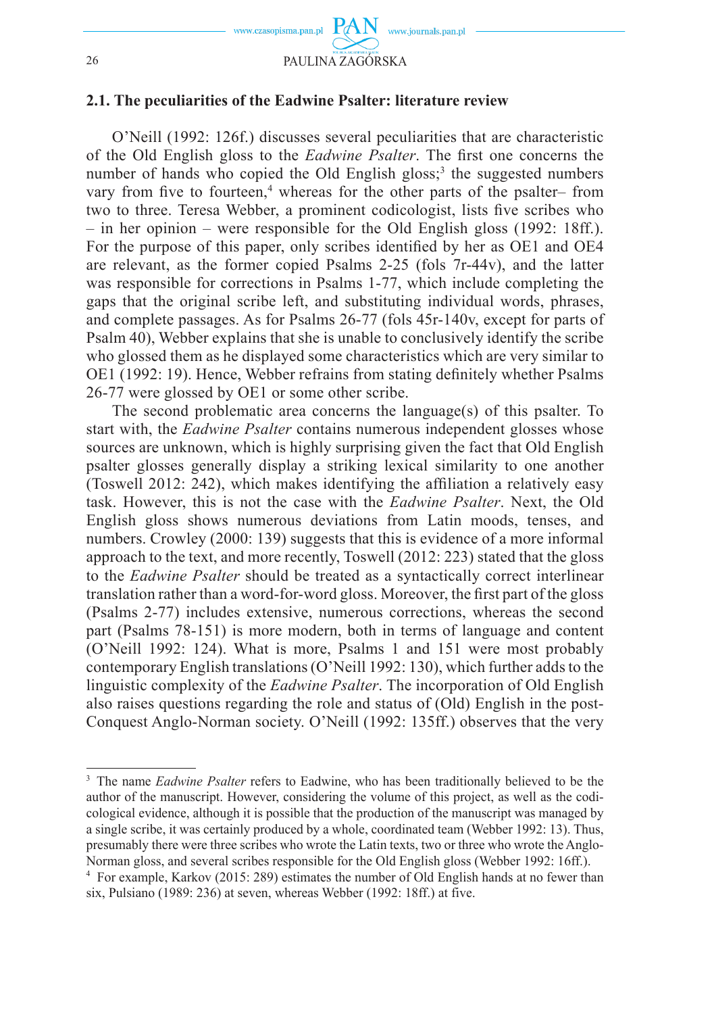

## **2.1. The peculiarities of the Eadwine Psalter: literature review**

O'Neill (1992: 126f.) discusses several peculiarities that are characteristic of the Old English gloss to the *Eadwine Psalter*. The first one concerns the number of hands who copied the Old English gloss;<sup>3</sup> the suggested numbers vary from five to fourteen,<sup>4</sup> whereas for the other parts of the psalter– from two to three. Teresa Webber, a prominent codicologist, lists five scribes who  $-$  in her opinion – were responsible for the Old English gloss (1992: 18ff.). For the purpose of this paper, only scribes identified by her as OE1 and OE4 are relevant, as the former copied Psalms 2-25 (fols 7r-44v), and the latter was responsible for corrections in Psalms 1-77, which include completing the gaps that the original scribe left, and substituting individual words, phrases, and complete passages. As for Psalms 26-77 (fols 45r-140v, except for parts of Psalm 40), Webber explains that she is unable to conclusively identify the scribe who glossed them as he displayed some characteristics which are very similar to OE1 (1992: 19). Hence, Webber refrains from stating definitely whether Psalms 26-77 were glossed by OE1 or some other scribe.

The second problematic area concerns the language(s) of this psalter. To start with, the *Eadwine Psalter* contains numerous independent glosses whose sources are unknown, which is highly surprising given the fact that Old English psalter glosses generally display a striking lexical similarity to one another (Toswell 2012: 242), which makes identifying the affiliation a relatively easy task. However, this is not the case with the *Eadwine Psalter*. Next, the Old English gloss shows numerous deviations from Latin moods, tenses, and numbers. Crowley (2000: 139) suggests that this is evidence of a more informal approach to the text, and more recently, Toswell (2012: 223) stated that the gloss to the *Eadwine Psalter* should be treated as a syntactically correct interlinear translation rather than a word-for-word gloss. Moreover, the first part of the gloss (Psalms 2-77) includes extensive, numerous corrections, whereas the second part (Psalms 78-151) is more modern, both in terms of language and content (O'Neill 1992: 124). What is more, Psalms 1 and 151 were most probably contemporary English translations (O'Neill 1992: 130), which further adds to the linguistic complexity of the *Eadwine Psalter*. The incorporation of Old English also raises questions regarding the role and status of (Old) English in the post-Conquest Anglo-Norman society. O'Neill (1992: 135ff.) observes that the very

<sup>&</sup>lt;sup>3</sup> The name *Eadwine Psalter* refers to Eadwine, who has been traditionally believed to be the author of the manuscript. However, considering the volume of this project, as well as the codicological evidence, although it is possible that the production of the manuscript was managed by a single scribe, it was certainly produced by a whole, coordinated team (Webber 1992: 13). Thus, presumably there were three scribes who wrote the Latin texts, two or three who wrote the Anglo-Norman gloss, and several scribes responsible for the Old English gloss (Webber 1992: 16ff.).

<sup>4</sup> For example, Karkov (2015: 289) estimates the number of Old English hands at no fewer than six, Pulsiano (1989: 236) at seven, whereas Webber (1992: 18ff.) at five.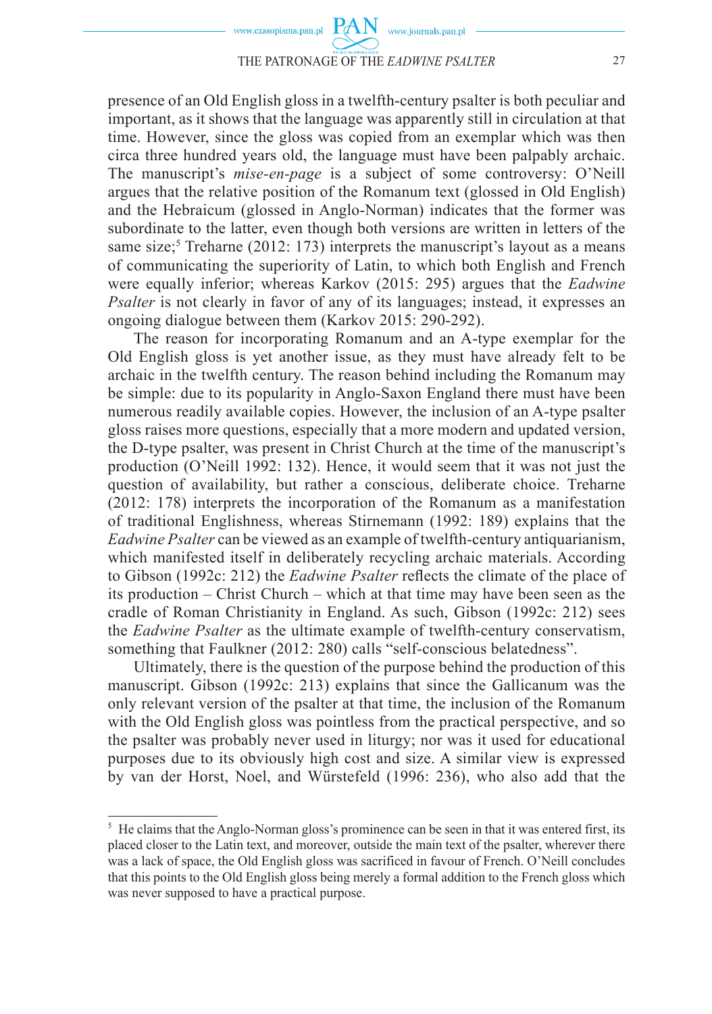presence of an Old English gloss in a twelfth-century psalter is both peculiar and important, as it shows that the language was apparently still in circulation at that time. However, since the gloss was copied from an exemplar which was then circa three hundred years old, the language must have been palpably archaic. The manuscript's *mise-en-page* is a subject of some controversy: O'Neill argues that the relative position of the Romanum text (glossed in Old English) and the Hebraicum (glossed in Anglo-Norman) indicates that the former was subordinate to the latter, even though both versions are written in letters of the same size;<sup>5</sup> Treharne (2012: 173) interprets the manuscript's layout as a means of communicating the superiority of Latin, to which both English and French were equally inferior; whereas Karkov (2015: 295) argues that the *Eadwine Psalter* is not clearly in favor of any of its languages; instead, it expresses an ongoing dialogue between them (Karkov 2015: 290-292).

The reason for incorporating Romanum and an A-type exemplar for the Old English gloss is yet another issue, as they must have already felt to be archaic in the twelfth century. The reason behind including the Romanum may be simple: due to its popularity in Anglo-Saxon England there must have been numerous readily available copies. However, the inclusion of an A-type psalter gloss raises more questions, especially that a more modern and updated version, the D-type psalter, was present in Christ Church at the time of the manuscript's production (O'Neill 1992: 132). Hence, it would seem that it was not just the question of availability, but rather a conscious, deliberate choice. Treharne (2012: 178) interprets the incorporation of the Romanum as a manifestation of traditional Englishness, whereas Stirnemann (1992: 189) explains that the *Eadwine Psalter* can be viewed as an example of twelfth-century antiquarianism, which manifested itself in deliberately recycling archaic materials. According to Gibson (1992c: 212) the *Eadwine Psalter* reflects the climate of the place of its production – Christ Church – which at that time may have been seen as the cradle of Roman Christianity in England. As such, Gibson (1992c: 212) sees the *Eadwine Psalter* as the ultimate example of twelfth-century conservatism, something that Faulkner (2012: 280) calls "self-conscious belatedness".

Ultimately, there is the question of the purpose behind the production of this manuscript. Gibson (1992c: 213) explains that since the Gallicanum was the only relevant version of the psalter at that time, the inclusion of the Romanum with the Old English gloss was pointless from the practical perspective, and so the psalter was probably never used in liturgy; nor was it used for educational purposes due to its obviously high cost and size. A similar view is expressed by van der Horst, Noel, and Würstefeld (1996: 236), who also add that the

 $<sup>5</sup>$  He claims that the Anglo-Norman gloss's prominence can be seen in that it was entered first, its</sup> placed closer to the Latin text, and moreover, outside the main text of the psalter, wherever there was a lack of space, the Old English gloss was sacrificed in favour of French. O'Neill concludes that this points to the Old English gloss being merely a formal addition to the French gloss which was never supposed to have a practical purpose.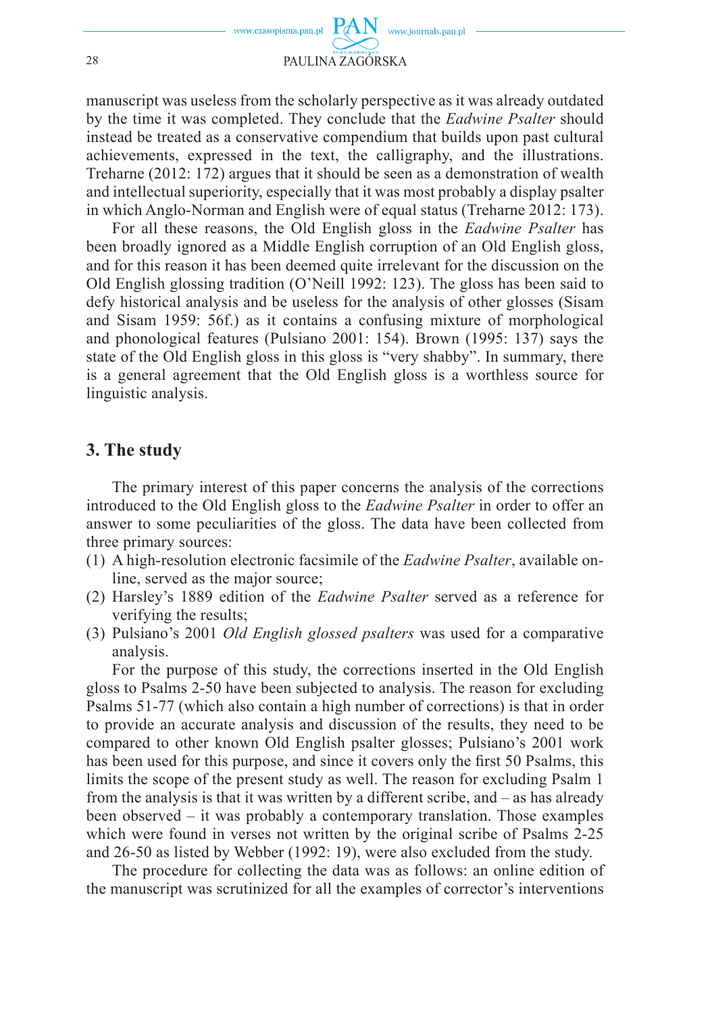

manuscript was useless from the scholarly perspective as it was already outdated by the time it was completed. They conclude that the *Eadwine Psalter* should instead be treated as a conservative compendium that builds upon past cultural achievements, expressed in the text, the calligraphy, and the illustrations. Treharne (2012: 172) argues that it should be seen as a demonstration of wealth and intellectual superiority, especially that it was most probably a display psalter in which Anglo-Norman and English were of equal status (Treharne 2012: 173).

For all these reasons, the Old English gloss in the *Eadwine Psalter* has been broadly ignored as a Middle English corruption of an Old English gloss, and for this reason it has been deemed quite irrelevant for the discussion on the Old English glossing tradition (O'Neill 1992: 123). The gloss has been said to defy historical analysis and be useless for the analysis of other glosses (Sisam and Sisam 1959: 56f.) as it contains a confusing mixture of morphological and phonological features (Pulsiano 2001: 154). Brown (1995: 137) says the state of the Old English gloss in this gloss is "very shabby". In summary, there is a general agreement that the Old English gloss is a worthless source for linguistic analysis.

## **3. The study**

The primary interest of this paper concerns the analysis of the corrections introduced to the Old English gloss to the *Eadwine Psalter* in order to offer an answer to some peculiarities of the gloss. The data have been collected from three primary sources:

- (1) A high-resolution electronic facsimile of the *Eadwine Psalter*, available online, served as the major source;
- (2) Harsley's 1889 edition of the *Eadwine Psalter* served as a reference for verifying the results;
- (3) Pulsiano's 2001 *Old English glossed psalters* was used for a comparative analysis.

For the purpose of this study, the corrections inserted in the Old English gloss to Psalms 2-50 have been subjected to analysis. The reason for excluding Psalms 51-77 (which also contain a high number of corrections) is that in order to provide an accurate analysis and discussion of the results, they need to be compared to other known Old English psalter glosses; Pulsiano's 2001 work has been used for this purpose, and since it covers only the first 50 Psalms, this limits the scope of the present study as well. The reason for excluding Psalm 1 from the analysis is that it was written by a different scribe, and – as has already been observed – it was probably a contemporary translation. Those examples which were found in verses not written by the original scribe of Psalms 2-25 and 26-50 as listed by Webber (1992: 19), were also excluded from the study.

The procedure for collecting the data was as follows: an online edition of the manuscript was scrutinized for all the examples of corrector's interventions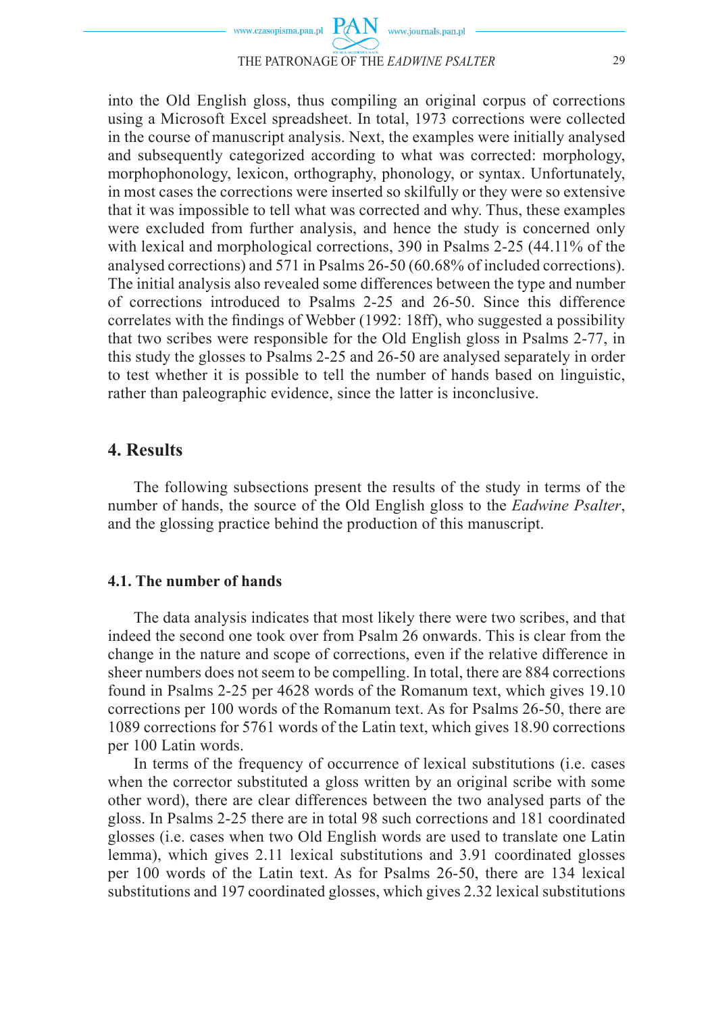

into the Old English gloss, thus compiling an original corpus of corrections using a Microsoft Excel spreadsheet. In total, 1973 corrections were collected in the course of manuscript analysis. Next, the examples were initially analysed and subsequently categorized according to what was corrected: morphology, morphophonology, lexicon, orthography, phonology, or syntax. Unfortunately, in most cases the corrections were inserted so skilfully or they were so extensive that it was impossible to tell what was corrected and why. Thus, these examples were excluded from further analysis, and hence the study is concerned only with lexical and morphological corrections, 390 in Psalms 2-25 (44.11% of the analysed corrections) and 571 in Psalms 26-50 (60.68% of included corrections). The initial analysis also revealed some differences between the type and number of corrections introduced to Psalms 2-25 and 26-50. Since this difference correlates with the findings of Webber (1992: 18ff), who suggested a possibility that two scribes were responsible for the Old English gloss in Psalms 2-77, in this study the glosses to Psalms 2-25 and 26-50 are analysed separately in order to test whether it is possible to tell the number of hands based on linguistic, rather than paleographic evidence, since the latter is inconclusive.

## **4. Results**

The following subsections present the results of the study in terms of the number of hands, the source of the Old English gloss to the *Eadwine Psalter*, and the glossing practice behind the production of this manuscript.

### **4.1. The number of hands**

The data analysis indicates that most likely there were two scribes, and that indeed the second one took over from Psalm 26 onwards. This is clear from the change in the nature and scope of corrections, even if the relative difference in sheer numbers does not seem to be compelling. In total, there are 884 corrections found in Psalms 2-25 per 4628 words of the Romanum text, which gives 19.10 corrections per 100 words of the Romanum text. As for Psalms 26-50, there are 1089 corrections for 5761 words of the Latin text, which gives 18.90 corrections per 100 Latin words.

In terms of the frequency of occurrence of lexical substitutions (i.e. cases when the corrector substituted a gloss written by an original scribe with some other word), there are clear differences between the two analysed parts of the gloss. In Psalms 2-25 there are in total 98 such corrections and 181 coordinated glosses (i.e. cases when two Old English words are used to translate one Latin lemma), which gives 2.11 lexical substitutions and 3.91 coordinated glosses per 100 words of the Latin text. As for Psalms 26-50, there are 134 lexical substitutions and 197 coordinated glosses, which gives 2.32 lexical substitutions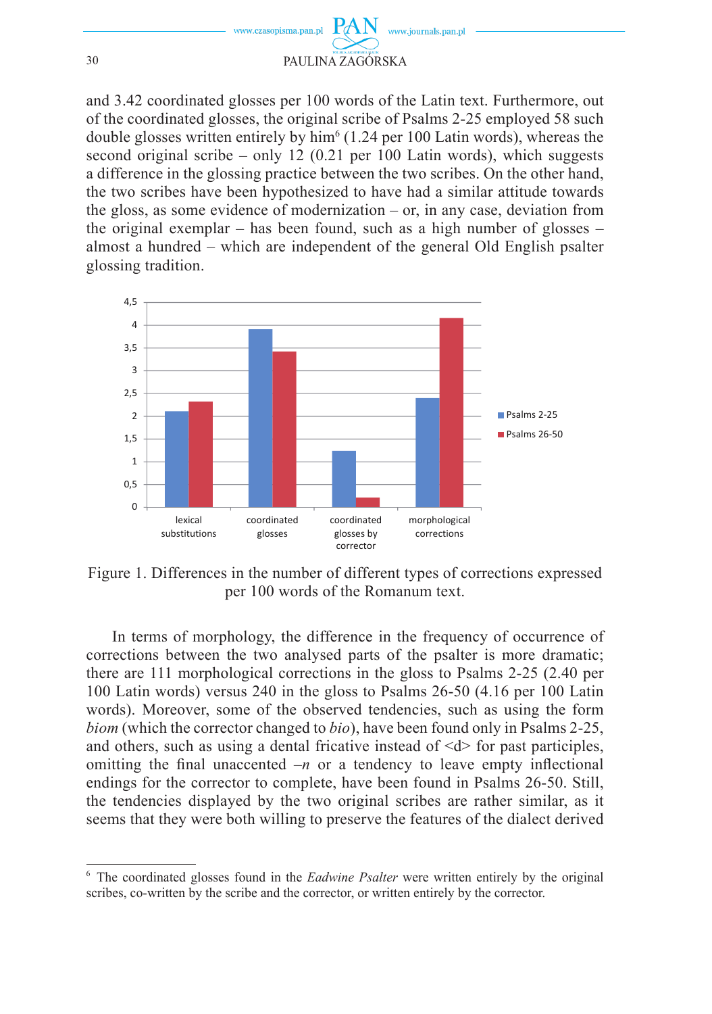

and 3.42 coordinated glosses per 100 words of the Latin text. Furthermore, out of the coordinated glosses, the original scribe of Psalms 2-25 employed 58 such double glosses written entirely by  $\text{him}^6$  (1.24 per 100 Latin words), whereas the second original scribe – only 12  $(0.21 \text{ per } 100 \text{ Latin words})$ , which suggests a difference in the glossing practice between the two scribes. On the other hand, the two scribes have been hypothesized to have had a similar attitude towards the gloss, as some evidence of modernization – or, in any case, deviation from the original exemplar – has been found, such as a high number of glosses – almost a hundred – which are independent of the general Old English psalter glossing tradition.



Figure 1. Differences in the number of different types of corrections expressed per 100 words of the Romanum text.

In terms of morphology, the difference in the frequency of occurrence of corrections between the two analysed parts of the psalter is more dramatic; there are 111 morphological corrections in the gloss to Psalms 2-25 (2.40 per 100 Latin words) versus 240 in the gloss to Psalms 26-50 (4.16 per 100 Latin words). Moreover, some of the observed tendencies, such as using the form *biom* (which the corrector changed to *bio*), have been found only in Psalms 2-25, and others, such as using a dental fricative instead of  $\langle d \rangle$  for past participles, omitting the final unaccented  $-n$  or a tendency to leave empty inflectional endings for the corrector to complete, have been found in Psalms 26-50. Still, the tendencies displayed by the two original scribes are rather similar, as it seems that they were both willing to preserve the features of the dialect derived

<sup>6</sup> The coordinated glosses found in the *Eadwine Psalter* were written entirely by the original scribes, co-written by the scribe and the corrector, or written entirely by the corrector.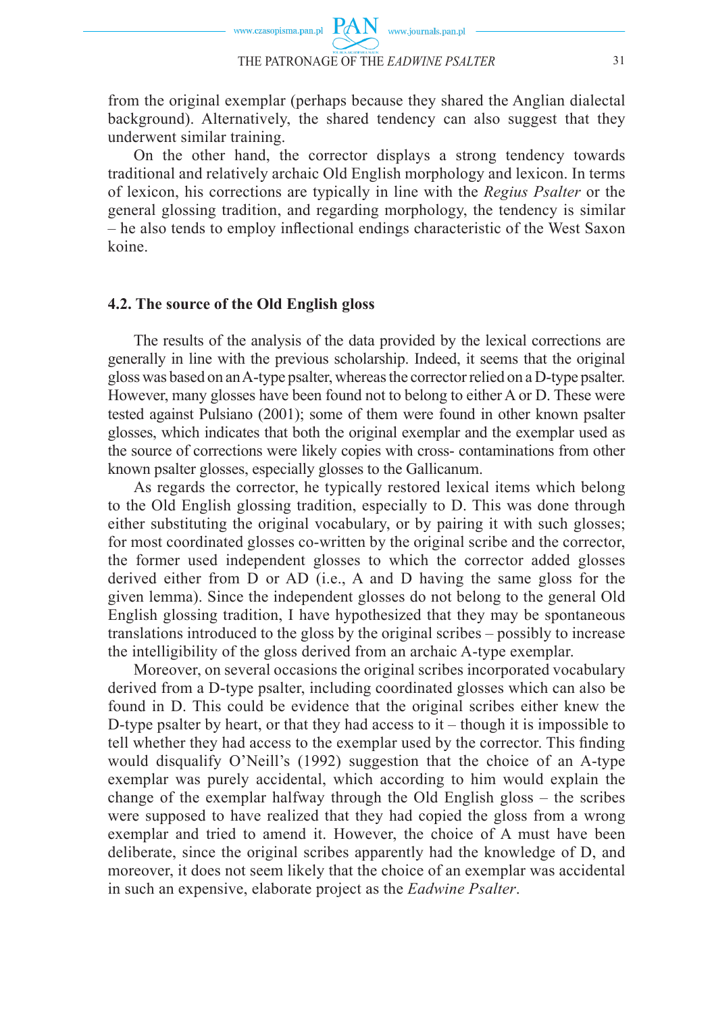from the original exemplar (perhaps because they shared the Anglian dialectal background). Alternatively, the shared tendency can also suggest that they underwent similar training.

On the other hand, the corrector displays a strong tendency towards traditional and relatively archaic Old English morphology and lexicon. In terms of lexicon, his corrections are typically in line with the *Regius Psalter* or the general glossing tradition, and regarding morphology, the tendency is similar – he also tends to employ inflectional endings characteristic of the West Saxon koine.

#### **4.2. The source of the Old English gloss**

The results of the analysis of the data provided by the lexical corrections are generally in line with the previous scholarship. Indeed, it seems that the original gloss was based on an A-type psalter, whereas the corrector relied on a D-type psalter. However, many glosses have been found not to belong to either A or D. These were tested against Pulsiano (2001); some of them were found in other known psalter glosses, which indicates that both the original exemplar and the exemplar used as the source of corrections were likely copies with cross- contaminations from other known psalter glosses, especially glosses to the Gallicanum.

As regards the corrector, he typically restored lexical items which belong to the Old English glossing tradition, especially to D. This was done through either substituting the original vocabulary, or by pairing it with such glosses; for most coordinated glosses co-written by the original scribe and the corrector, the former used independent glosses to which the corrector added glosses derived either from D or AD (i.e., A and D having the same gloss for the given lemma). Since the independent glosses do not belong to the general Old English glossing tradition, I have hypothesized that they may be spontaneous translations introduced to the gloss by the original scribes – possibly to increase the intelligibility of the gloss derived from an archaic A-type exemplar.

Moreover, on several occasions the original scribes incorporated vocabulary derived from a D-type psalter, including coordinated glosses which can also be found in D. This could be evidence that the original scribes either knew the D-type psalter by heart, or that they had access to it – though it is impossible to tell whether they had access to the exemplar used by the corrector. This finding would disqualify O'Neill's (1992) suggestion that the choice of an A-type exemplar was purely accidental, which according to him would explain the change of the exemplar halfway through the Old English gloss – the scribes were supposed to have realized that they had copied the gloss from a wrong exemplar and tried to amend it. However, the choice of A must have been deliberate, since the original scribes apparently had the knowledge of D, and moreover, it does not seem likely that the choice of an exemplar was accidental in such an expensive, elaborate project as the *Eadwine Psalter*.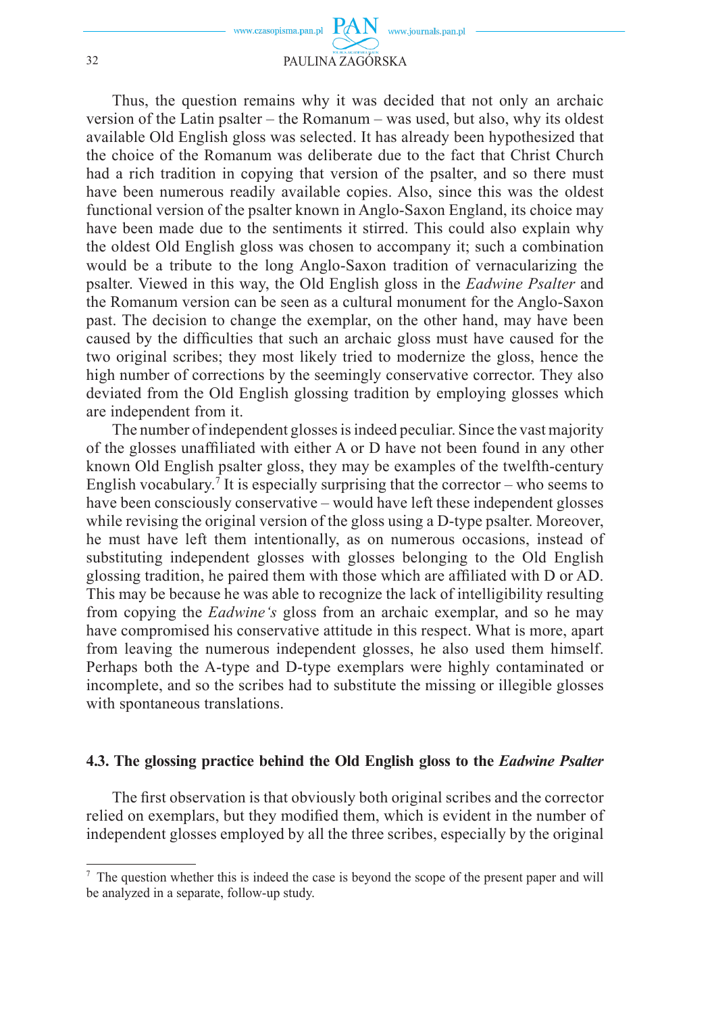

Thus, the question remains why it was decided that not only an archaic version of the Latin psalter – the Romanum – was used, but also, why its oldest available Old English gloss was selected. It has already been hypothesized that the choice of the Romanum was deliberate due to the fact that Christ Church had a rich tradition in copying that version of the psalter, and so there must have been numerous readily available copies. Also, since this was the oldest functional version of the psalter known in Anglo-Saxon England, its choice may have been made due to the sentiments it stirred. This could also explain why the oldest Old English gloss was chosen to accompany it; such a combination would be a tribute to the long Anglo-Saxon tradition of vernacularizing the psalter. Viewed in this way, the Old English gloss in the *Eadwine Psalter* and the Romanum version can be seen as a cultural monument for the Anglo-Saxon past. The decision to change the exemplar, on the other hand, may have been caused by the difficulties that such an archaic gloss must have caused for the two original scribes; they most likely tried to modernize the gloss, hence the high number of corrections by the seemingly conservative corrector. They also deviated from the Old English glossing tradition by employing glosses which are independent from it.

The number of independent glosses is indeed peculiar. Since the vast majority of the glosses unaffi liated with either A or D have not been found in any other known Old English psalter gloss, they may be examples of the twelfth-century English vocabulary.<sup>7</sup> It is especially surprising that the corrector – who seems to have been consciously conservative – would have left these independent glosses while revising the original version of the gloss using a D-type psalter. Moreover, he must have left them intentionally, as on numerous occasions, instead of substituting independent glosses with glosses belonging to the Old English glossing tradition, he paired them with those which are affiliated with D or AD. This may be because he was able to recognize the lack of intelligibility resulting from copying the *Eadwine's* gloss from an archaic exemplar, and so he may have compromised his conservative attitude in this respect. What is more, apart from leaving the numerous independent glosses, he also used them himself. Perhaps both the A-type and D-type exemplars were highly contaminated or incomplete, and so the scribes had to substitute the missing or illegible glosses with spontaneous translations.

#### **4.3. The glossing practice behind the Old English gloss to the** *Eadwine Psalter*

The first observation is that obviously both original scribes and the corrector relied on exemplars, but they modified them, which is evident in the number of independent glosses employed by all the three scribes, especially by the original

<sup>7</sup> The question whether this is indeed the case is beyond the scope of the present paper and will be analyzed in a separate, follow-up study.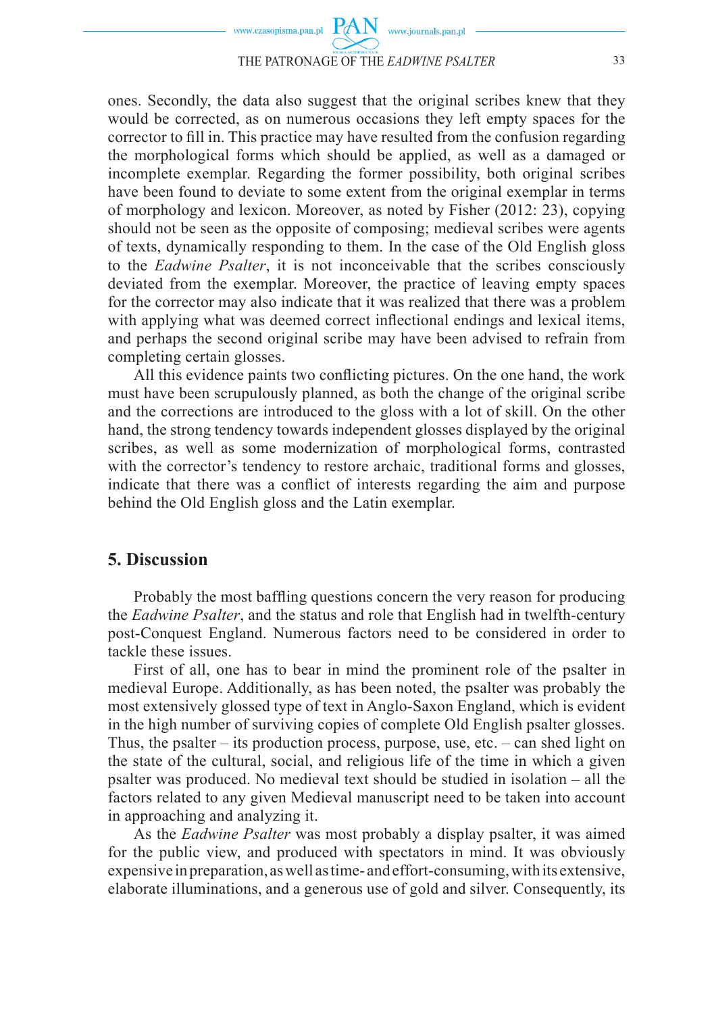

ones. Secondly, the data also suggest that the original scribes knew that they would be corrected, as on numerous occasions they left empty spaces for the corrector to fill in. This practice may have resulted from the confusion regarding the morphological forms which should be applied, as well as a damaged or incomplete exemplar. Regarding the former possibility, both original scribes have been found to deviate to some extent from the original exemplar in terms of morphology and lexicon. Moreover, as noted by Fisher (2012: 23), copying should not be seen as the opposite of composing; medieval scribes were agents of texts, dynamically responding to them. In the case of the Old English gloss to the *Eadwine Psalter*, it is not inconceivable that the scribes consciously deviated from the exemplar. Moreover, the practice of leaving empty spaces for the corrector may also indicate that it was realized that there was a problem with applying what was deemed correct inflectional endings and lexical items, and perhaps the second original scribe may have been advised to refrain from completing certain glosses.

All this evidence paints two conflicting pictures. On the one hand, the work must have been scrupulously planned, as both the change of the original scribe and the corrections are introduced to the gloss with a lot of skill. On the other hand, the strong tendency towards independent glosses displayed by the original scribes, as well as some modernization of morphological forms, contrasted with the corrector's tendency to restore archaic, traditional forms and glosses, indicate that there was a conflict of interests regarding the aim and purpose behind the Old English gloss and the Latin exemplar.

## **5. Discussion**

Probably the most baffling questions concern the very reason for producing the *Eadwine Psalter*, and the status and role that English had in twelfth-century post-Conquest England. Numerous factors need to be considered in order to tackle these issues.

First of all, one has to bear in mind the prominent role of the psalter in medieval Europe. Additionally, as has been noted, the psalter was probably the most extensively glossed type of text in Anglo-Saxon England, which is evident in the high number of surviving copies of complete Old English psalter glosses. Thus, the psalter – its production process, purpose, use, etc. – can shed light on the state of the cultural, social, and religious life of the time in which a given psalter was produced. No medieval text should be studied in isolation – all the factors related to any given Medieval manuscript need to be taken into account in approaching and analyzing it.

As the *Eadwine Psalter* was most probably a display psalter, it was aimed for the public view, and produced with spectators in mind. It was obviously expensive in preparation, as well as time- and effort-consuming, with its extensive, elaborate illuminations, and a generous use of gold and silver. Consequently, its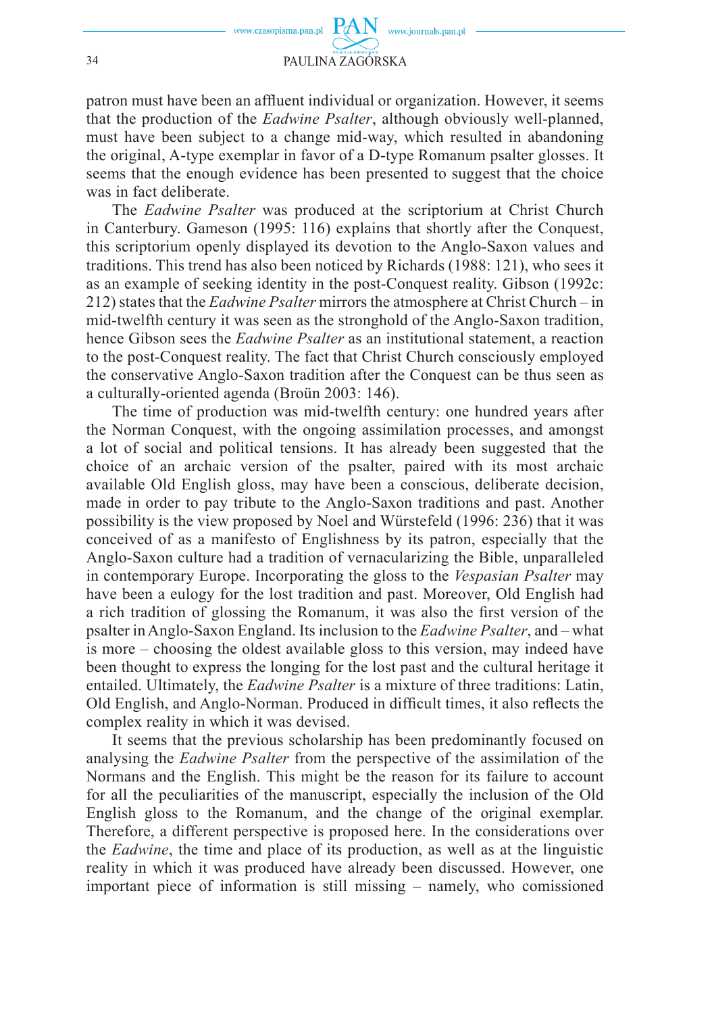

patron must have been an affluent individual or organization. However, it seems that the production of the *Eadwine Psalter*, although obviously well-planned, must have been subject to a change mid-way, which resulted in abandoning the original, A-type exemplar in favor of a D-type Romanum psalter glosses. It seems that the enough evidence has been presented to suggest that the choice was in fact deliberate.

The *Eadwine Psalter* was produced at the scriptorium at Christ Church in Canterbury. Gameson (1995: 116) explains that shortly after the Conquest, this scriptorium openly displayed its devotion to the Anglo-Saxon values and traditions. This trend has also been noticed by Richards (1988: 121), who sees it as an example of seeking identity in the post-Conquest reality. Gibson (1992c: 212) states that the *Eadwine Psalter* mirrors the atmosphere at Christ Church – in mid-twelfth century it was seen as the stronghold of the Anglo-Saxon tradition, hence Gibson sees the *Eadwine Psalter* as an institutional statement, a reaction to the post-Conquest reality. The fact that Christ Church consciously employed the conservative Anglo-Saxon tradition after the Conquest can be thus seen as a culturally-oriented agenda (Broün 2003: 146).

The time of production was mid-twelfth century: one hundred years after the Norman Conquest, with the ongoing assimilation processes, and amongst a lot of social and political tensions. It has already been suggested that the choice of an archaic version of the psalter, paired with its most archaic available Old English gloss, may have been a conscious, deliberate decision, made in order to pay tribute to the Anglo-Saxon traditions and past. Another possibility is the view proposed by Noel and Würstefeld (1996: 236) that it was conceived of as a manifesto of Englishness by its patron, especially that the Anglo-Saxon culture had a tradition of vernacularizing the Bible, unparalleled in contemporary Europe. Incorporating the gloss to the *Vespasian Psalter* may have been a eulogy for the lost tradition and past. Moreover, Old English had a rich tradition of glossing the Romanum, it was also the first version of the psalter in Anglo-Saxon England. Its inclusion to the *Eadwine Psalter*, and – what is more – choosing the oldest available gloss to this version, may indeed have been thought to express the longing for the lost past and the cultural heritage it entailed. Ultimately, the *Eadwine Psalter* is a mixture of three traditions: Latin, Old English, and Anglo-Norman. Produced in difficult times, it also reflects the complex reality in which it was devised.

It seems that the previous scholarship has been predominantly focused on analysing the *Eadwine Psalter* from the perspective of the assimilation of the Normans and the English. This might be the reason for its failure to account for all the peculiarities of the manuscript, especially the inclusion of the Old English gloss to the Romanum, and the change of the original exemplar. Therefore, a different perspective is proposed here. In the considerations over the *Eadwine*, the time and place of its production, as well as at the linguistic reality in which it was produced have already been discussed. However, one important piece of information is still missing – namely, who comissioned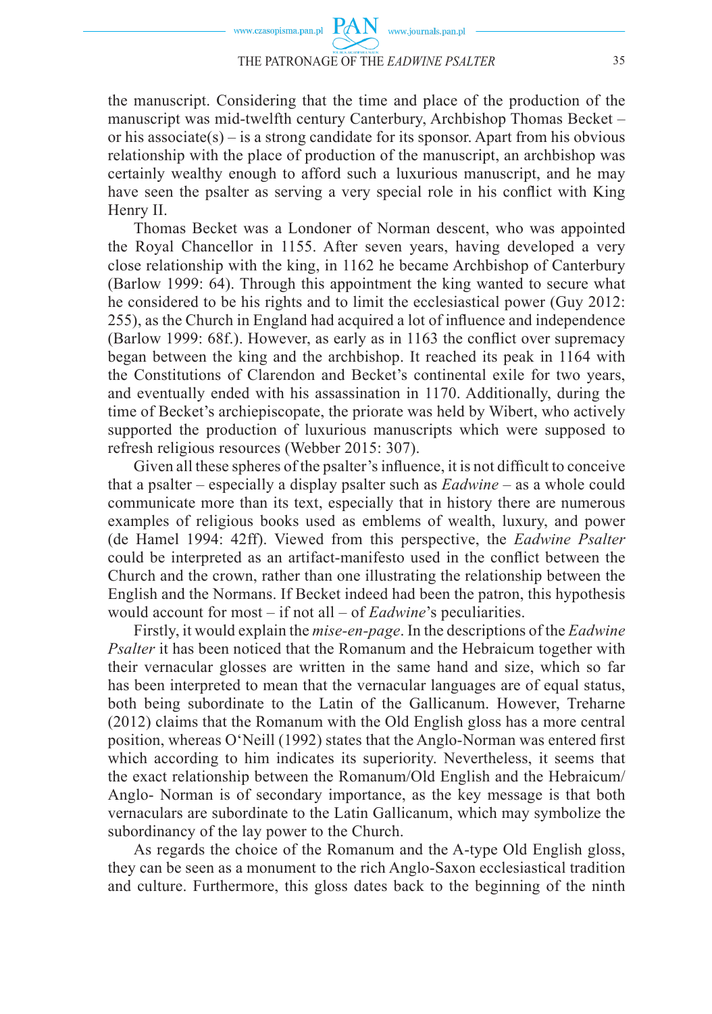the manuscript. Considering that the time and place of the production of the manuscript was mid-twelfth century Canterbury, Archbishop Thomas Becket – or his associate(s) – is a strong candidate for its sponsor. Apart from his obvious relationship with the place of production of the manuscript, an archbishop was certainly wealthy enough to afford such a luxurious manuscript, and he may have seen the psalter as serving a very special role in his conflict with King Henry II.

Thomas Becket was a Londoner of Norman descent, who was appointed the Royal Chancellor in 1155. After seven years, having developed a very close relationship with the king, in 1162 he became Archbishop of Canterbury (Barlow 1999: 64). Through this appointment the king wanted to secure what he considered to be his rights and to limit the ecclesiastical power (Guy 2012: 255), as the Church in England had acquired a lot of influence and independence  $(Barlow 1999: 68f)$ . However, as early as in 1163 the conflict over supremacy began between the king and the archbishop. It reached its peak in 1164 with the Constitutions of Clarendon and Becket's continental exile for two years, and eventually ended with his assassination in 1170. Additionally, during the time of Becket's archiepiscopate, the priorate was held by Wibert, who actively supported the production of luxurious manuscripts which were supposed to refresh religious resources (Webber 2015: 307).

Given all these spheres of the psalter's influence, it is not difficult to conceive that a psalter – especially a display psalter such as *Eadwine* – as a whole could communicate more than its text, especially that in history there are numerous examples of religious books used as emblems of wealth, luxury, and power (de Hamel 1994: 42ff). Viewed from this perspective, the *Eadwine Psalter* could be interpreted as an artifact-manifesto used in the conflict between the Church and the crown, rather than one illustrating the relationship between the English and the Normans. If Becket indeed had been the patron, this hypothesis would account for most – if not all – of *Eadwine*'s peculiarities.

Firstly, it would explain the *mise-en-page*. In the descriptions of the *Eadwine Psalter* it has been noticed that the Romanum and the Hebraicum together with their vernacular glosses are written in the same hand and size, which so far has been interpreted to mean that the vernacular languages are of equal status, both being subordinate to the Latin of the Gallicanum. However, Treharne (2012) claims that the Romanum with the Old English gloss has a more central position, whereas  $O'N$ eill (1992) states that the Anglo-Norman was entered first which according to him indicates its superiority. Nevertheless, it seems that the exact relationship between the Romanum/Old English and the Hebraicum/ Anglo- Norman is of secondary importance, as the key message is that both vernaculars are subordinate to the Latin Gallicanum, which may symbolize the subordinancy of the lay power to the Church.

As regards the choice of the Romanum and the A-type Old English gloss, they can be seen as a monument to the rich Anglo-Saxon ecclesiastical tradition and culture. Furthermore, this gloss dates back to the beginning of the ninth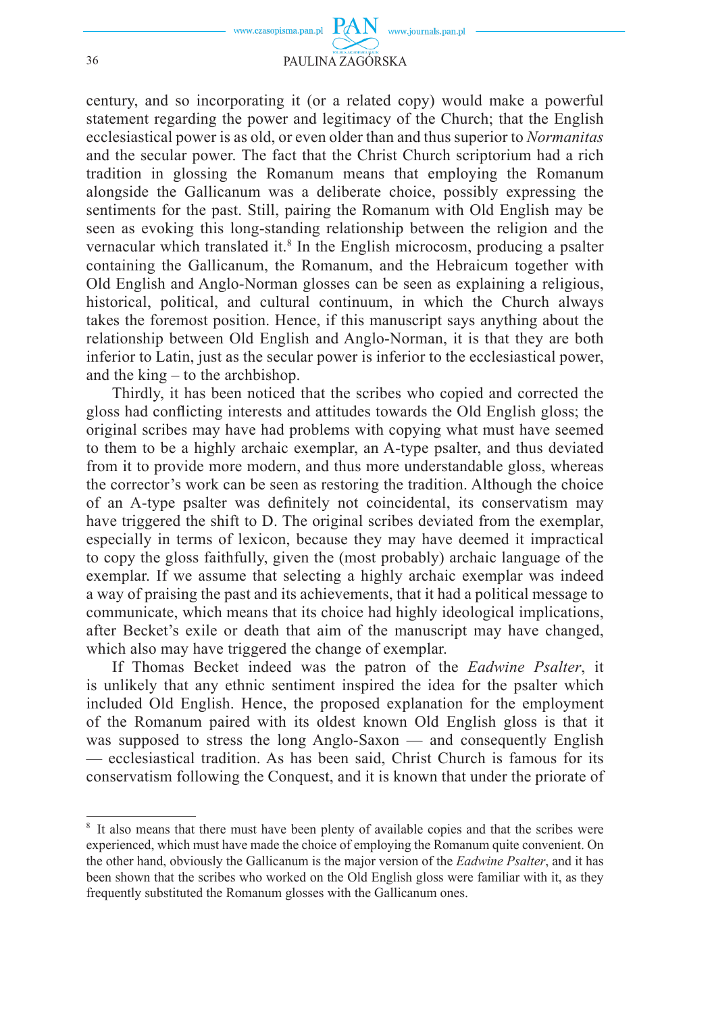

century, and so incorporating it (or a related copy) would make a powerful statement regarding the power and legitimacy of the Church; that the English ecclesiastical power is as old, or even older than and thus superior to *Normanitas* and the secular power. The fact that the Christ Church scriptorium had a rich tradition in glossing the Romanum means that employing the Romanum alongside the Gallicanum was a deliberate choice, possibly expressing the sentiments for the past. Still, pairing the Romanum with Old English may be seen as evoking this long-standing relationship between the religion and the vernacular which translated it.<sup>8</sup> In the English microcosm, producing a psalter containing the Gallicanum, the Romanum, and the Hebraicum together with Old English and Anglo-Norman glosses can be seen as explaining a religious, historical, political, and cultural continuum, in which the Church always takes the foremost position. Hence, if this manuscript says anything about the relationship between Old English and Anglo-Norman, it is that they are both inferior to Latin, just as the secular power is inferior to the ecclesiastical power, and the king – to the archbishop.

Thirdly, it has been noticed that the scribes who copied and corrected the gloss had confl icting interests and attitudes towards the Old English gloss; the original scribes may have had problems with copying what must have seemed to them to be a highly archaic exemplar, an A-type psalter, and thus deviated from it to provide more modern, and thus more understandable gloss, whereas the corrector's work can be seen as restoring the tradition. Although the choice of an A-type psalter was defi nitely not coincidental, its conservatism may have triggered the shift to D. The original scribes deviated from the exemplar, especially in terms of lexicon, because they may have deemed it impractical to copy the gloss faithfully, given the (most probably) archaic language of the exemplar. If we assume that selecting a highly archaic exemplar was indeed a way of praising the past and its achievements, that it had a political message to communicate, which means that its choice had highly ideological implications, after Becket's exile or death that aim of the manuscript may have changed, which also may have triggered the change of exemplar.

If Thomas Becket indeed was the patron of the *Eadwine Psalter*, it is unlikely that any ethnic sentiment inspired the idea for the psalter which included Old English. Hence, the proposed explanation for the employment of the Romanum paired with its oldest known Old English gloss is that it was supposed to stress the long Anglo-Saxon — and consequently English — ecclesiastical tradition. As has been said, Christ Church is famous for its conservatism following the Conquest, and it is known that under the priorate of

<sup>&</sup>lt;sup>8</sup> It also means that there must have been plenty of available copies and that the scribes were experienced, which must have made the choice of employing the Romanum quite convenient. On the other hand, obviously the Gallicanum is the major version of the *Eadwine Psalter*, and it has been shown that the scribes who worked on the Old English gloss were familiar with it, as they frequently substituted the Romanum glosses with the Gallicanum ones.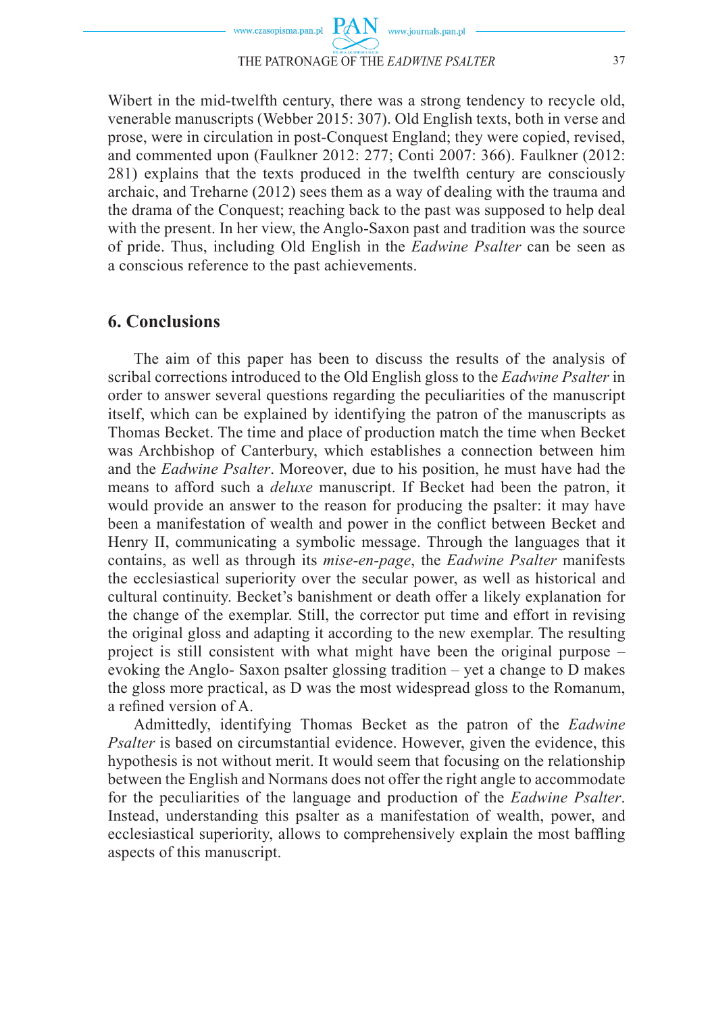

Wibert in the mid-twelfth century, there was a strong tendency to recycle old, venerable manuscripts (Webber 2015: 307). Old English texts, both in verse and prose, were in circulation in post-Conquest England; they were copied, revised, and commented upon (Faulkner 2012: 277; Conti 2007: 366). Faulkner (2012: 281) explains that the texts produced in the twelfth century are consciously archaic, and Treharne (2012) sees them as a way of dealing with the trauma and the drama of the Conquest; reaching back to the past was supposed to help deal with the present. In her view, the Anglo-Saxon past and tradition was the source of pride. Thus, including Old English in the *Eadwine Psalter* can be seen as a conscious reference to the past achievements.

## **6. Conclusions**

The aim of this paper has been to discuss the results of the analysis of scribal corrections introduced to the Old English gloss to the *Eadwine Psalter* in order to answer several questions regarding the peculiarities of the manuscript itself, which can be explained by identifying the patron of the manuscripts as Thomas Becket. The time and place of production match the time when Becket was Archbishop of Canterbury, which establishes a connection between him and the *Eadwine Psalter*. Moreover, due to his position, he must have had the means to afford such a *deluxe* manuscript. If Becket had been the patron, it would provide an answer to the reason for producing the psalter: it may have been a manifestation of wealth and power in the conflict between Becket and Henry II, communicating a symbolic message. Through the languages that it contains, as well as through its *mise-en-page*, the *Eadwine Psalter* manifests the ecclesiastical superiority over the secular power, as well as historical and cultural continuity. Becket's banishment or death offer a likely explanation for the change of the exemplar. Still, the corrector put time and effort in revising the original gloss and adapting it according to the new exemplar. The resulting project is still consistent with what might have been the original purpose – evoking the Anglo- Saxon psalter glossing tradition – yet a change to D makes the gloss more practical, as D was the most widespread gloss to the Romanum, a refined version of A.

Admittedly, identifying Thomas Becket as the patron of the *Eadwine Psalter* is based on circumstantial evidence. However, given the evidence, this hypothesis is not without merit. It would seem that focusing on the relationship between the English and Normans does not offer the right angle to accommodate for the peculiarities of the language and production of the *Eadwine Psalter*. Instead, understanding this psalter as a manifestation of wealth, power, and ecclesiastical superiority, allows to comprehensively explain the most baffling aspects of this manuscript.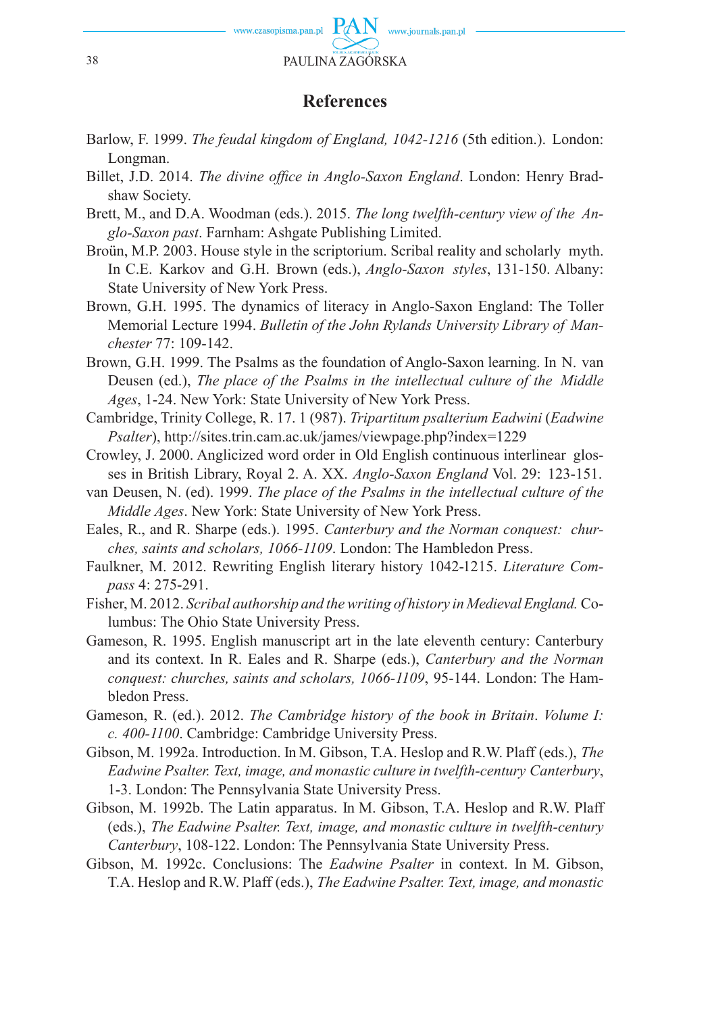

# **References**

- Barlow, F. 1999. *The feudal kingdom of England, 1042-1216* (5th edition.). London: Longman.
- Billet, J.D. 2014. *The divine office in Anglo-Saxon England*. London: Henry Bradshaw Society.
- Brett, M., and D.A. Woodman (eds.). 2015. *The long twelfth-century view of the Anglo-Saxon past*. Farnham: Ashgate Publishing Limited.
- Broün, M.P. 2003. House style in the scriptorium. Scribal reality and scholarly myth. In C.E. Karkov and G.H. Brown (eds.), *Anglo-Saxon styles*, 131-150. Albany: State University of New York Press.
- Brown, G.H. 1995. The dynamics of literacy in Anglo-Saxon England: The Toller Memorial Lecture 1994. *Bulletin of the John Rylands University Library of Manchester* 77: 109-142.
- Brown, G.H. 1999. The Psalms as the foundation of Anglo-Saxon learning. In N. van Deusen (ed.), *The place of the Psalms in the intellectual culture of the Middle Ages*, 1-24. New York: State University of New York Press.
- Cambridge, Trinity College, R. 17. 1 (987). *Tripartitum psalterium Eadwini* (*Eadwine Psalter*), http://sites.trin.cam.ac.uk/james/viewpage.php?index=1229
- Crowley, J. 2000. Anglicized word order in Old English continuous interlinear glosses in British Library, Royal 2. A. XX. *Anglo-Saxon England* Vol. 29: 123-151.
- van Deusen, N. (ed). 1999. *The place of the Psalms in the intellectual culture of the Middle Ages*. New York: State University of New York Press.
- Eales, R., and R. Sharpe (eds.). 1995. *Canterbury and the Norman conquest: churches, saints and scholars, 1066-1109*. London: The Hambledon Press.
- Faulkner, M. 2012. Rewriting English literary history 1042-1215. *Literature Compass* 4: 275-291.
- Fisher, M. 2012. *Scribal authorship and the writing of history in Medieval England.* Columbus: The Ohio State University Press.
- Gameson, R. 1995. English manuscript art in the late eleventh century: Canterbury and its context. In R. Eales and R. Sharpe (eds.), *Canterbury and the Norman conquest: churches, saints and scholars, 1066-1109*, 95-144. London: The Hambledon Press.
- Gameson, R. (ed.). 2012. *The Cambridge history of the book in Britain*. *Volume I: c. 400-1100*. Cambridge: Cambridge University Press.
- Gibson, M. 1992a. Introduction. In M. Gibson, T.A. Heslop and R.W. Plaff (eds.), *The Eadwine Psalter. Text, image, and monastic culture in twelfth-century Canterbury*, 1-3. London: The Pennsylvania State University Press.
- Gibson, M. 1992b. The Latin apparatus. In M. Gibson, T.A. Heslop and R.W. Plaff (eds.), *The Eadwine Psalter. Text, image, and monastic culture in twelfth-century Canterbury*, 108-122. London: The Pennsylvania State University Press.
- Gibson, M. 1992c. Conclusions: The *Eadwine Psalter* in context. In M. Gibson, T.A. Heslop and R.W. Plaff (eds.), *The Eadwine Psalter. Text, image, and monastic*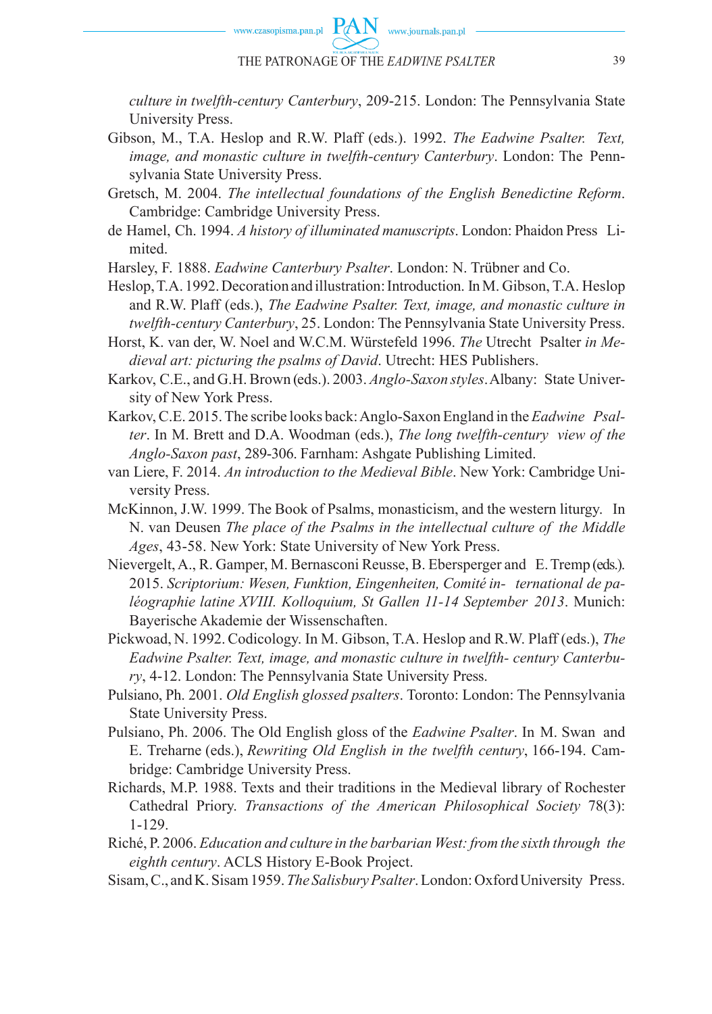*culture in twelfth-century Canterbury*, 209-215. London: The Pennsylvania State University Press.

- Gibson, M., T.A. Heslop and R.W. Plaff (eds.). 1992. *The Eadwine Psalter. Text, image, and monastic culture in twelfth-century Canterbury*. London: The Pennsylvania State University Press.
- Gretsch, M. 2004. *The intellectual foundations of the English Benedictine Reform*. Cambridge: Cambridge University Press.
- de Hamel, Ch. 1994. *A history of illuminated manuscripts*. London: Phaidon Press Limited.

Harsley, F. 1888. *Eadwine Canterbury Psalter*. London: N. Trübner and Co.

Heslop, T.A. 1992. Decoration and illustration: Introduction. In M. Gibson, T.A. Heslop and R.W. Plaff (eds.), *The Eadwine Psalter. Text, image, and monastic culture in twelfth-century Canterbury*, 25. London: The Pennsylvania State University Press.

Horst, K. van der, W. Noel and W.C.M. Würstefeld 1996. *The* Utrecht Psalter *in Medieval art: picturing the psalms of David*. Utrecht: HES Publishers.

- Karkov, C.E., and G.H. Brown (eds.). 2003. *Anglo-Saxon styles*. Albany: State University of New York Press.
- Karkov, C.E. 2015. The scribe looks back: Anglo-Saxon England in the *Eadwine Psalter*. In M. Brett and D.A. Woodman (eds.), *The long twelfth-century view of the Anglo-Saxon past*, 289-306. Farnham: Ashgate Publishing Limited.

van Liere, F. 2014. *An introduction to the Medieval Bible*. New York: Cambridge University Press.

- McKinnon, J.W. 1999. The Book of Psalms, monasticism, and the western liturgy. In N. van Deusen *The place of the Psalms in the intellectual culture of the Middle Ages*, 43-58. New York: State University of New York Press.
- Nievergelt, A., R. Gamper, M. Bernasconi Reusse, B. Ebersperger and E. Tremp (eds.). 2015. *Scriptorium: Wesen, Funktion, Eingenheiten, Comité in- ternational de paléographie latine XVIII. Kolloquium, St Gallen 11-14 September 2013*. Munich: Bayerische Akademie der Wissenschaften.
- Pickwoad, N. 1992. Codicology. In M. Gibson, T.A. Heslop and R.W. Plaff (eds.), *The Eadwine Psalter. Text, image, and monastic culture in twelfth- century Canterbury*, 4-12. London: The Pennsylvania State University Press.
- Pulsiano, Ph. 2001. *Old English glossed psalters*. Toronto: London: The Pennsylvania State University Press.
- Pulsiano, Ph. 2006. The Old English gloss of the *Eadwine Psalter*. In M. Swan and E. Treharne (eds.), *Rewriting Old English in the twelfth century*, 166-194. Cambridge: Cambridge University Press.
- Richards, M.P. 1988. Texts and their traditions in the Medieval library of Rochester Cathedral Priory. *Transactions of the American Philosophical Society* 78(3): 1-129.
- Riché, P. 2006. *Education and culture in the barbarian West: from the sixth through the eighth century*. ACLS History E-Book Project.
- Sisam, C., and K. Sisam 1959. *The Salisbury Psalter*. London: Oxford University Press.